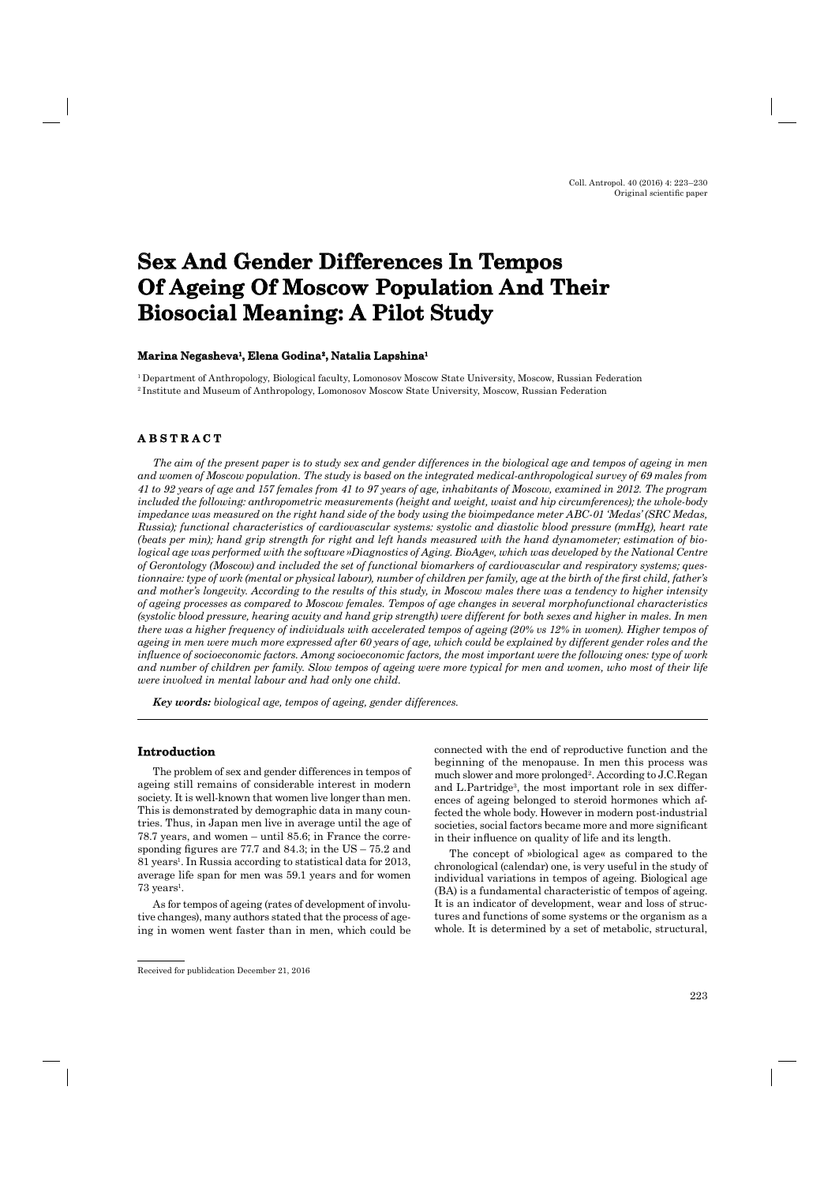# **Sex And Gender Differences In Tempos Of Ageing Of Moscow Population And Their Biosocial Meaning: A Pilot Study**

## **Marina Negasheva Negasheva1, Elena Godina , Godina2, Natalia Lapshina , Lapshina1**

<sup>1</sup> Department of Anthropology, Biological faculty, Lomonosov Moscow State University, Moscow, Russian Federation 2 Institute and Museum of Anthropology, Lomonosov Moscow State University, Moscow, Russian Federation

# **A B S T R A C T ABSTRACT**

*The aim of the present paper is to study sex and gender differences in the biological age and tempos of ageing in men and women of Moscow population. The study is based on the integrated medical-anthropological survey of 69 males from 41 to 92 years of age and 157 females from 41 to 97 years of age, inhabitants of Moscow, examined in 2012. The program included the following: anthropometric measurements (height and weight, waist and hip circumferences); the whole-body impedance was measured on the right hand side of the body using the bioimpedance meter ABC-01 'Medas' (SRC Medas, Russia); functional characteristics of cardiovascular systems: systolic and diastolic blood pressure (mmHg), heart rate (beats per min); hand grip strength for right and left hands measured with the hand dynamometer; estimation of biological age was performed with the software »Diagnostics of Aging. BioAge«, which was developed by the National Centre of Gerontology (Moscow) and included the set of functional biomarkers of cardiovascular and respiratory systems; questionnaire: type of work (mental or physical labour), number of children per family, age at the birth of the first child, father's and mother's longevity. According to the results of this study, in Moscow males there was a tendency to higher intensity of ageing processes as compared to Moscow females. Tempos of age changes in several morphofunctional characteristics (systolic blood pressure, hearing acuity and hand grip strength) were different for both sexes and higher in males. In men there was a higher frequency of individuals with accelerated tempos of ageing (20% vs 12% in women). Higher tempos of ageing in men were much more expressed after 60 years of age, which could be explained by different gender roles and the infl uence of socioeconomic factors. Among socioeconomic factors, the most important were the following ones: type of work*  and number of children per family. Slow tempos of ageing were more typical for men and women, who most of their life *were involved in mental labour and had only one child.*

*Key words: biological age, tempos of ageing, gender differences.*

## **Introduction**

The problem of sex and gender differences in tempos of ageing still remains of considerable interest in modern society. It is well-known that women live longer than men. This is demonstrated by demographic data in many countries. Thus, in Japan men live in average until the age of 78.7 years, and women – until 85.6; in France the corresponding figures are  $77.7$  and  $84.3$ ; in the US –  $75.2$  and 81 years<sup>1</sup>. In Russia according to statistical data for 2013, average life span for men was 59.1 years and for women  $73$  years<sup>1</sup>.

As for tempos of ageing (rates of development of involutive changes), many authors stated that the process of ageing in women went faster than in men, which could be connected with the end of reproductive function and the beginning of the menopause. In men this process was much slower and more prolonged<sup>2</sup>. According to J.C.Regan and L.Partridge<sup>3</sup>, the most important role in sex differences of ageing belonged to steroid hormones which affected the whole body. However in modern post-industrial societies, social factors became more and more significant in their influence on quality of life and its length.

The concept of »biological age« as compared to the chronological (calendar) one, is very useful in the study of individual variations in tempos of ageing. Biological age (BA) is a fundamental characteristic of tempos of ageing. It is an indicator of development, wear and loss of structures and functions of some systems or the organism as a whole. It is determined by a set of metabolic, structural,

Received for publidcation December 21, 2016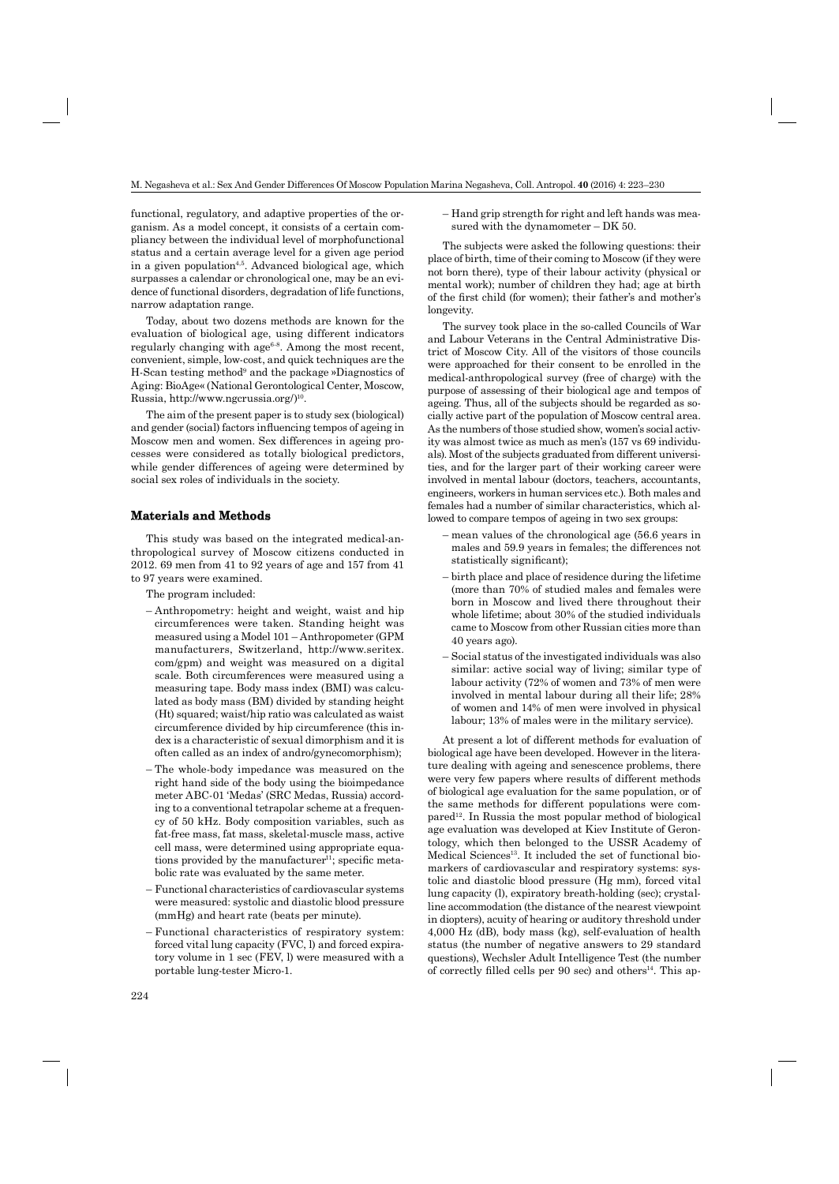functional, regulatory, and adaptive properties of the organism. As a model concept, it consists of a certain compliancy between the individual level of morphofunctional status and a certain average level for a given age period in a given population<sup> $4,5$ </sup>. Advanced biological age, which surpasses a calendar or chronological one, may be an evidence of functional disorders, degradation of life functions, narrow adaptation range.

Today, about two dozens methods are known for the evaluation of biological age, using different indicators regularly changing with age<sup>6-8</sup>. Among the most recent, convenient, simple, low-cost, and quick techniques are the H-Scan testing method<sup>9</sup> and the package »Diagnostics of Aging: BioAge« (National Gerontological Center, Moscow, Russia, http://www.ngcrussia.org/)<sup>10</sup>.

The aim of the present paper is to study sex (biological) and gender (social) factors influencing tempos of ageing in Moscow men and women. Sex differences in ageing processes were considered as totally biological predictors, while gender differences of ageing were determined by social sex roles of individuals in the society.

## **Materials and Methods**

This study was based on the integrated medical-anthropological survey of Moscow citizens conducted in 2012. 69 men from 41 to 92 years of age and 157 from 41 to 97 years were examined.

The program included:

- Anthropometry: height and weight, waist and hip circumferences were taken. Standing height was measured using a Model 101 – Anthropometer (GPM manufacturers, Switzerland, http://www.seritex. com/gpm) and weight was measured on a digital scale. Both circumferences were measured using a measuring tape. Body mass index (BMI) was calculated as body mass (BM) divided by standing height (Ht) squared; waist/hip ratio was calculated as waist circumference divided by hip circumference (this index is a characteristic of sexual dimorphism and it is often called as an index of andro/gynecomorphism);
- The whole-body impedance was measured on the right hand side of the body using the bioimpedance meter ABC-01 'Medas' (SRC Medas, Russia) according to a conventional tetrapolar scheme at a frequency of 50 kHz. Body composition variables, such as fat-free mass, fat mass, skeletal-muscle mass, active cell mass, were determined using appropriate equations provided by the manufacturer<sup>11</sup>; specific metabolic rate was evaluated by the same meter.
- Functional characteristics of cardiovascular systems were measured: systolic and diastolic blood pressure (mmHg) and heart rate (beats per minute).
- Functional characteristics of respiratory system: forced vital lung capacity (FVC, l) and forced expiratory volume in 1 sec (FEV, l) were measured with a portable lung-tester Micro-1.

– Hand grip strength for right and left hands was measured with the dynamometer – DK 50.

The subjects were asked the following questions: their place of birth, time of their coming to Moscow (if they were not born there), type of their labour activity (physical or mental work); number of children they had; age at birth of the first child (for women); their father's and mother's longevity.

The survey took place in the so-called Councils of War and Labour Veterans in the Central Administrative District of Moscow City. All of the visitors of those councils were approached for their consent to be enrolled in the medical-anthropological survey (free of charge) with the purpose of assessing of their biological age and tempos of ageing. Thus, all of the subjects should be regarded as socially active part of the population of Moscow central area. As the numbers of those studied show, women's social activity was almost twice as much as men's (157 vs 69 individuals). Most of the subjects graduated from different universities, and for the larger part of their working career were involved in mental labour (doctors, teachers, accountants, engineers, workers in human services etc.). Both males and females had a number of similar characteristics, which allowed to compare tempos of ageing in two sex groups:

- mean values of the chronological age (56.6 years in males and 59.9 years in females; the differences not statistically significant);
- birth place and place of residence during the lifetime (more than 70% of studied males and females were born in Moscow and lived there throughout their whole lifetime; about 30% of the studied individuals came to Moscow from other Russian cities more than 40 years ago).
- Social status of the investigated individuals was also similar: active social way of living; similar type of labour activity (72% of women and 73% of men were involved in mental labour during all their life; 28% of women and 14% of men were involved in physical labour; 13% of males were in the military service).

At present a lot of different methods for evaluation of biological age have been developed. However in the literature dealing with ageing and senescence problems, there were very few papers where results of different methods of biological age evaluation for the same population, or of the same methods for different populations were com- $\mu$  pared<sup>12</sup>. In Russia the most popular method of biological age evaluation was developed at Kiev Institute of Gerontology, which then belonged to the USSR Academy of Medical Sciences<sup>13</sup>. It included the set of functional biomarkers of cardiovascular and respiratory systems: systolic and diastolic blood pressure (Hg mm), forced vital lung capacity (l), expiratory breath-holding (sec); crystalline accommodation (the distance of the nearest viewpoint in diopters), acuity of hearing or auditory threshold under 4,000 Hz (dB), body mass (kg), self-evaluation of health status (the number of negative answers to 29 standard questions), Wechsler Adult Intelligence Test (the number of correctly filled cells per 90 sec) and others<sup>14</sup>. This ap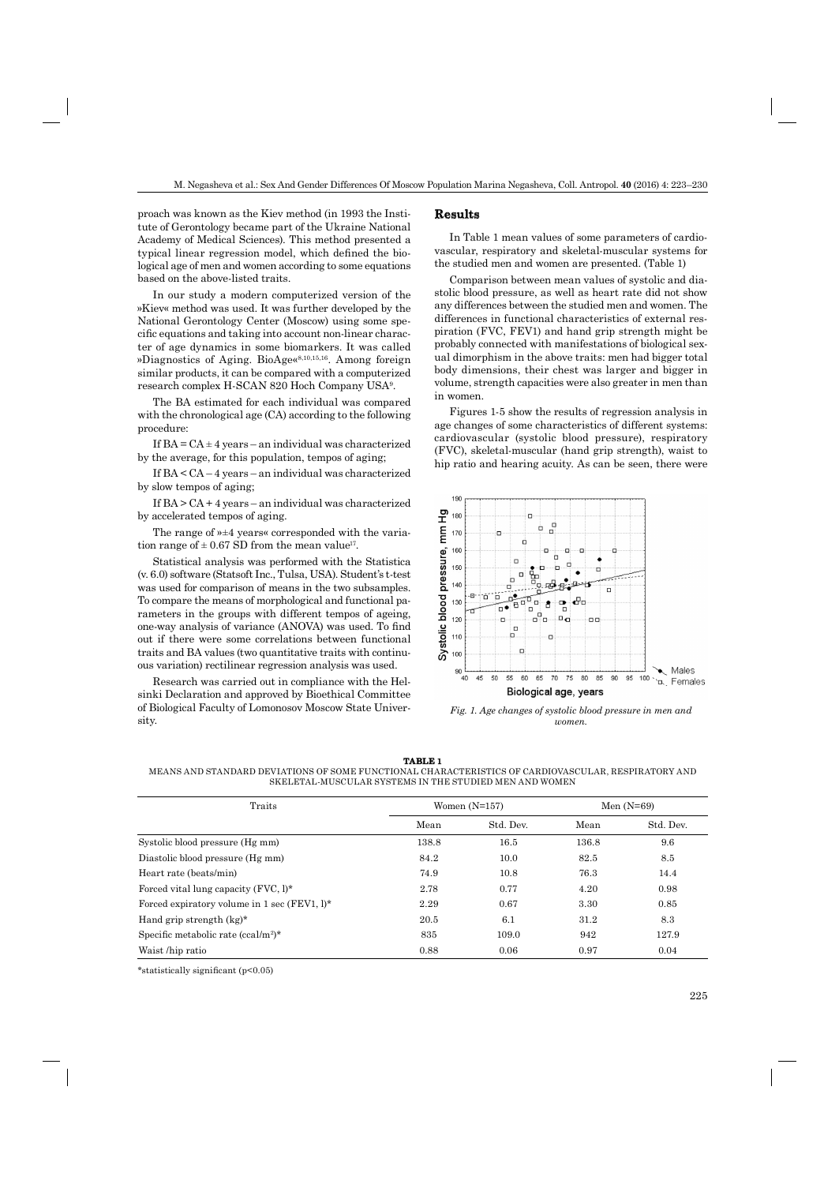proach was known as the Kiev method (in 1993 the Institute of Gerontology became part of the Ukraine National Academy of Medical Sciences). This method presented a typical linear regression model, which defined the biological age of men and women according to some equations based on the above-listed traits.

In our study a modern computerized version of the »Kiev« method was used. It was further developed by the National Gerontology Center (Moscow) using some specific equations and taking into account non-linear character of age dynamics in some biomarkers. It was called »Diagnostics of Aging. BioAge«8,10,15,16. Among foreign similar products, it can be compared with a computerized research complex H-SCAN 820 Hoch Company USA9 .

The BA estimated for each individual was compared with the chronological age (CA) according to the following procedure:

If  $BA = CA \pm 4$  years – an individual was characterized by the average, for this population, tempos of aging;

If BA < CA – 4 years – an individual was characterized by slow tempos of aging;

If BA > CA + 4 years – an individual was characterized by accelerated tempos of aging.

The range of »±4 years« corresponded with the variation range of  $\pm$  0.67 SD from the mean value<sup>17</sup>.

Statistical analysis was performed with the Statistica (v. 6.0) software (Statsoft Inc., Tulsa, USA). Student's t-test was used for comparison of means in the two subsamples. To compare the means of morphological and functional parameters in the groups with different tempos of ageing, one-way analysis of variance (ANOVA) was used. To find out if there were some correlations between functional traits and BA values (two quantitative traits with continuous variation) rectilinear regression analysis was used.

Research was carried out in compliance with the Helsinki Declaration and approved by Bioethical Committee of Biological Faculty of Lomonosov Moscow State University.

### **Results**

In Table 1 mean values of some parameters of cardiovascular, respiratory and skeletal-muscular systems for the studied men and women are presented. (Table 1)

Comparison between mean values of systolic and diastolic blood pressure, as well as heart rate did not show any differences between the studied men and women. The differences in functional characteristics of external respiration (FVC, FEV1) and hand grip strength might be probably connected with manifestations of biological sexual dimorphism in the above traits: men had bigger total body dimensions, their chest was larger and bigger in volume, strength capacities were also greater in men than in women.

Figures 1-5 show the results of regression analysis in age changes of some characteristics of different systems: cardiovascular (systolic blood pressure), respiratory (FVC), skeletal-muscular (hand grip strength), waist to hip ratio and hearing acuity. As can be seen, there were



*Fig. 1. Age changes of systolic blood pressure in men and women.*

**TABLE 1**

MEANS AND STANDARD DEVIATIONS OF SOME FUNCTIONAL CHARACTERISTICS OF CARDIOVASCULAR, RESPIRATORY AND SKELETAL-MUSCULAR SYSTEMS IN THE STUDIED MEN AND WOMEN

| Traits                                          |       | Women $(N=157)$ | Men $(N=69)$ |           |
|-------------------------------------------------|-------|-----------------|--------------|-----------|
|                                                 | Mean  | Std. Dev.       | Mean         | Std. Dev. |
| Systolic blood pressure (Hg mm)                 | 138.8 | 16.5            | 136.8        | 9.6       |
| Diastolic blood pressure (Hg mm)                | 84.2  | 10.0            | 82.5         | 8.5       |
| Heart rate (beats/min)                          | 74.9  | 10.8            | 76.3         | 14.4      |
| Forced vital lung capacity $(FVC, l)^*$         | 2.78  | 0.77            | 4.20         | 0.98      |
| Forced expiratory volume in 1 sec (FEV1, l)*    | 2.29  | 0.67            | 3.30         | 0.85      |
| Hand grip strength $(kg)^*$                     | 20.5  | 6.1             | 31.2         | 8.3       |
| Specific metabolic rate (ccal/m <sup>2</sup> )* | 835   | 109.0           | 942          | 127.9     |
| Waist /hip ratio                                | 0.88  | 0.06            | 0.97         | 0.04      |

\*statistically significant  $(p<0.05)$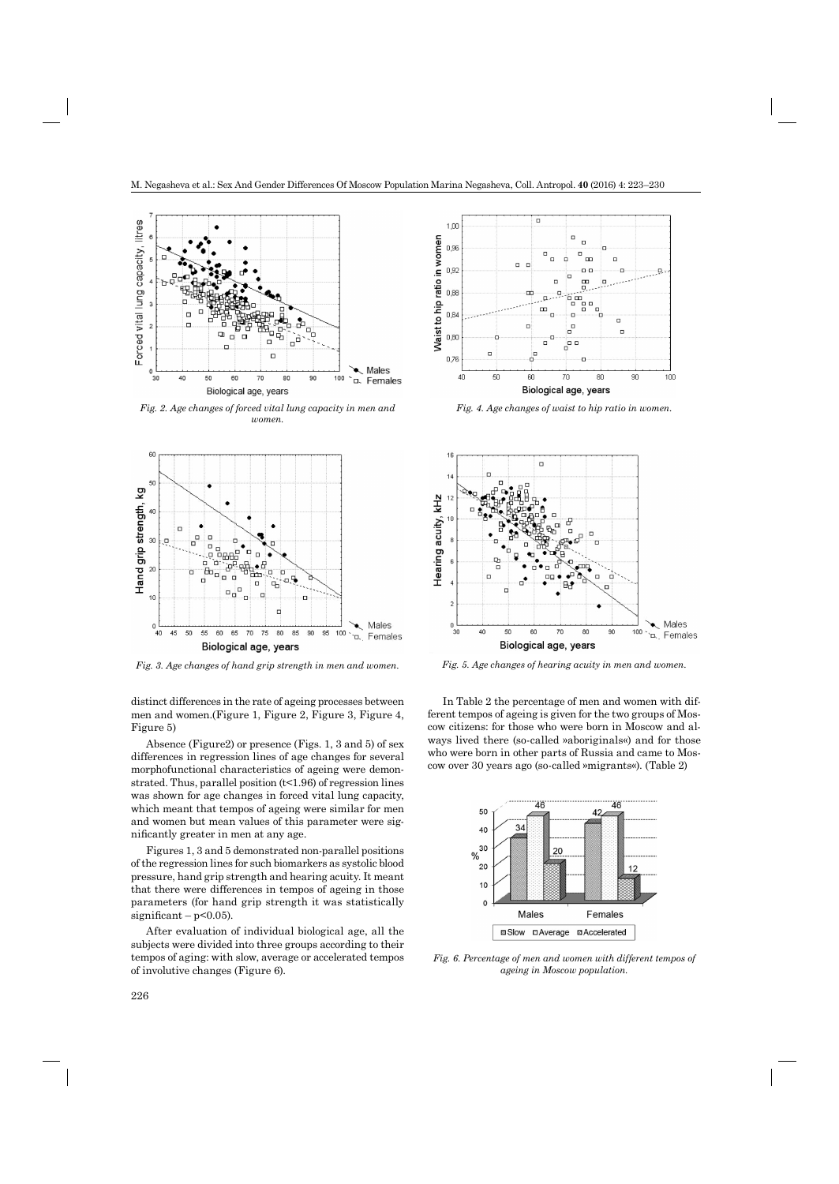

*Fig. 2. Age changes of forced vital lung capacity in men and women.*



*Fig. 3. Age changes of hand grip strength in men and women. Fig. 5. Age changes of hearing acuity in men and women.*

distinct differences in the rate of ageing processes between men and women.(Figure 1, Figure 2, Figure 3, Figure 4, Figure 5)

Absence (Figure2) or presence (Figs. 1, 3 and 5) of sex differences in regression lines of age changes for several morphofunctional characteristics of ageing were demonstrated. Thus, parallel position  $(t<1.96)$  of regression lines was shown for age changes in forced vital lung capacity, which meant that tempos of ageing were similar for men and women but mean values of this parameter were significantly greater in men at any age.

Figures 1, 3 and 5 demonstrated non-parallel positions of the regression lines for such biomarkers as systolic blood pressure, hand grip strength and hearing acuity. It meant that there were differences in tempos of ageing in those parameters (for hand grip strength it was statistically significant –  $p<0.05$ ).

After evaluation of individual biological age, all the subjects were divided into three groups according to their tempos of aging: with slow, average or accelerated tempos of involutive changes (Figure 6).



*Fig. 4. Age changes of waist to hip ratio in women.*



In Table 2 the percentage of men and women with different tempos of ageing is given for the two groups of Moscow citizens: for those who were born in Moscow and always lived there (so-called »aboriginals«) and for those who were born in other parts of Russia and came to Moscow over 30 years ago (so-called »migrants«). (Table 2)



*Fig. 6. Percentage of men and women with different tempos of ageing in Moscow population.*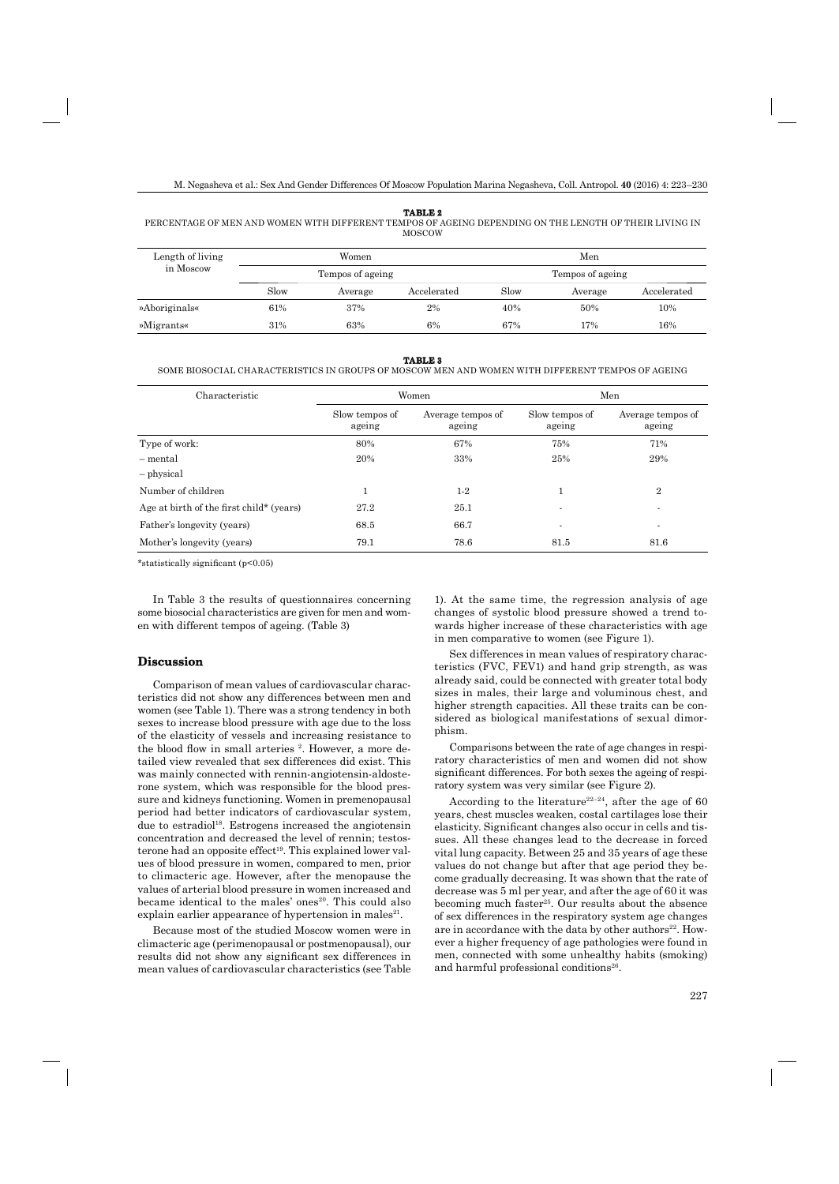#### **TABLE 2**

PERCENTAGE OF MEN AND WOMEN WITH DIFFERENT TEMPOS OF AGEING DEPENDING ON THE LENGTH OF THEIR LIVING IN MOSCOW

| Length of living<br>in Moscow |                  | Women   |             |                  | Men     |             |
|-------------------------------|------------------|---------|-------------|------------------|---------|-------------|
|                               | Tempos of ageing |         |             | Tempos of ageing |         |             |
|                               | Slow             | Average | Accelerated | Slow             | Average | Accelerated |
| »Aboriginals«                 | 61%              | 37%     | 2%          | 40%              | 50%     | 10%         |
| »Migrants«                    | 31%              | 63%     | 6%          | 67%              | 17%     | 16%         |

#### **TABLE 3**

#### SOME BIOSOCIAL CHARACTERISTICS IN GROUPS OF MOSCOW MEN AND WOMEN WITH DIFFERENT TEMPOS OF AGEING

| Characteristic                           | Women                    |                             | Men                      |                             |  |
|------------------------------------------|--------------------------|-----------------------------|--------------------------|-----------------------------|--|
|                                          | Slow tempos of<br>ageing | Average tempos of<br>ageing | Slow tempos of<br>ageing | Average tempos of<br>ageing |  |
| Type of work:                            | 80%                      | 67%                         | 75%                      | 71%                         |  |
| - mental                                 | 20%                      | 33%                         | 25%                      | 29%                         |  |
| - physical                               |                          |                             |                          |                             |  |
| Number of children                       | 1                        | $1-2$                       |                          | $\overline{2}$              |  |
| Age at birth of the first child* (years) | 27.2                     | 25.1                        | $\blacksquare$           | $\overline{\phantom{a}}$    |  |
| Father's longevity (years)               | 68.5                     | 66.7                        | ٠                        | $\overline{\phantom{a}}$    |  |
| Mother's longevity (years)               | 79.1                     | 78.6                        | 81.5                     | 81.6                        |  |

\*statistically significant  $(p<0.05)$ 

In Table 3 the results of questionnaires concerning some biosocial characteristics are given for men and women with different tempos of ageing. (Table 3)

## **Discussion**

Comparison of mean values of cardiovascular characteristics did not show any differences between men and women (see Table 1). There was a strong tendency in both sexes to increase blood pressure with age due to the loss of the elasticity of vessels and increasing resistance to the blood flow in small arteries <sup>2</sup>. However, a more detailed view revealed that sex differences did exist. This was mainly connected with rennin-angiotensin-aldosterone system, which was responsible for the blood pressure and kidneys functioning. Women in premenopausal period had better indicators of cardiovascular system, due to estradiol<sup>18</sup>. Estrogens increased the angiotensin concentration and decreased the level of rennin; testosterone had an opposite effect<sup>19</sup>. This explained lower values of blood pressure in women, compared to men, prior to climacteric age. However, after the menopause the values of arterial blood pressure in women increased and became identical to the males' ones<sup>20</sup>. This could also explain earlier appearance of hypertension in males<sup>21</sup>.

Because most of the studied Moscow women were in climacteric age (perimenopausal or postmenopausal), our results did not show any significant sex differences in mean values of cardiovascular characteristics (see Table

1). At the same time, the regression analysis of age changes of systolic blood pressure showed a trend towards higher increase of these characteristics with age in men comparative to women (see Figure 1).

Sex differences in mean values of respiratory characteristics (FVC, FEV1) and hand grip strength, as was already said, could be connected with greater total body sizes in males, their large and voluminous chest, and higher strength capacities. All these traits can be considered as biological manifestations of sexual dimorphism.

Comparisons between the rate of age changes in respiratory characteristics of men and women did not show significant differences. For both sexes the ageing of respiratory system was very similar (see Figure 2).

According to the literature<sup>22–24</sup>, after the age of 60 years, chest muscles weaken, costal cartilages lose their elasticity. Significant changes also occur in cells and tissues. All these changes lead to the decrease in forced vital lung capacity. Between 25 and 35 years of age these values do not change but after that age period they become gradually decreasing. It was shown that the rate of decrease was 5 ml per year, and after the age of 60 it was becoming much faster<sup>25</sup>. Our results about the absence of sex differences in the respiratory system age changes are in accordance with the data by other authors<sup>22</sup>. However a higher frequency of age pathologies were found in men, connected with some unhealthy habits (smoking) and harmful professional conditions<sup>26</sup>.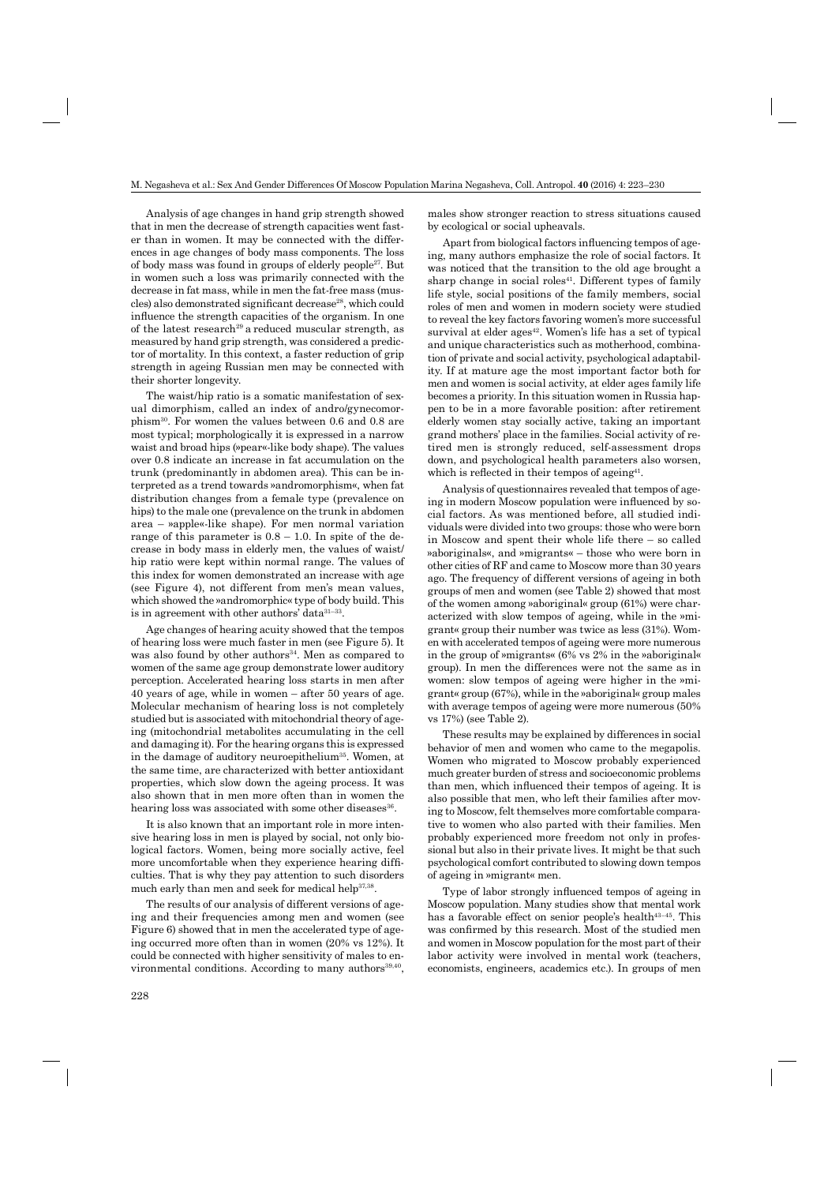Analysis of age changes in hand grip strength showed that in men the decrease of strength capacities went faster than in women. It may be connected with the differences in age changes of body mass components. The loss of body mass was found in groups of elderly people27. But in women such a loss was primarily connected with the decrease in fat mass, while in men the fat-free mass (muscles) also demonstrated significant decrease<sup>28</sup>, which could influence the strength capacities of the organism. In one of the latest research<sup>29</sup> a reduced muscular strength, as measured by hand grip strength, was considered a predictor of mortality. In this context, a faster reduction of grip strength in ageing Russian men may be connected with their shorter longevity.

The waist/hip ratio is a somatic manifestation of sexual dimorphism, called an index of andro/gynecomorphism30. For women the values between 0.6 and 0.8 are most typical; morphologically it is expressed in a narrow waist and broad hips (»pear«-like body shape). The values over 0.8 indicate an increase in fat accumulation on the trunk (predominantly in abdomen area). This can be interpreted as a trend towards »andromorphism«, when fat distribution changes from a female type (prevalence on hips) to the male one (prevalence on the trunk in abdomen area – »apple«-like shape). For men normal variation range of this parameter is  $0.8 - 1.0$ . In spite of the decrease in body mass in elderly men, the values of waist/ hip ratio were kept within normal range. The values of this index for women demonstrated an increase with age (see Figure 4), not different from men's mean values, which showed the »andromorphic« type of body build. This is in agreement with other authors' data31–33.

Age changes of hearing acuity showed that the tempos of hearing loss were much faster in men (see Figure 5). It was also found by other authors<sup>34</sup>. Men as compared to women of the same age group demonstrate lower auditory perception. Accelerated hearing loss starts in men after 40 years of age, while in women – after 50 years of age. Molecular mechanism of hearing loss is not completely studied but is associated with mitochondrial theory of ageing (mitochondrial metabolites accumulating in the cell and damaging it). For the hearing organs this is expressed in the damage of auditory neuroepithelium<sup>35</sup>. Women, at the same time, are characterized with better antioxidant properties, which slow down the ageing process. It was also shown that in men more often than in women the hearing loss was associated with some other diseases<sup>36</sup>.

It is also known that an important role in more intensive hearing loss in men is played by social, not only biological factors. Women, being more socially active, feel more uncomfortable when they experience hearing difficulties. That is why they pay attention to such disorders much early than men and seek for medical help<sup>37,38</sup>.

The results of our analysis of different versions of ageing and their frequencies among men and women (see Figure 6) showed that in men the accelerated type of ageing occurred more often than in women (20% vs 12%). It could be connected with higher sensitivity of males to environmental conditions. According to many authors<sup>39,40</sup>,

males show stronger reaction to stress situations caused by ecological or social upheavals.

Apart from biological factors influencing tempos of ageing, many authors emphasize the role of social factors. It was noticed that the transition to the old age brought a sharp change in social roles<sup>41</sup>. Different types of family life style, social positions of the family members, social roles of men and women in modern society were studied to reveal the key factors favoring women's more successful survival at elder  $a \text{ges}^{42}$ . Women's life has a set of typical and unique characteristics such as motherhood, combination of private and social activity, psychological adaptability. If at mature age the most important factor both for men and women is social activity, at elder ages family life becomes a priority. In this situation women in Russia happen to be in a more favorable position: after retirement elderly women stay socially active, taking an important grand mothers' place in the families. Social activity of retired men is strongly reduced, self-assessment drops down, and psychological health parameters also worsen, which is reflected in their tempos of ageing<sup>41</sup>.

Analysis of questionnaires revealed that tempos of ageing in modern Moscow population were influenced by social factors. As was mentioned before, all studied individuals were divided into two groups: those who were born in Moscow and spent their whole life there – so called »aboriginals«, and »migrants« – those who were born in other cities of RF and came to Moscow more than 30 years ago. The frequency of different versions of ageing in both groups of men and women (see Table 2) showed that most of the women among »aboriginal« group (61%) were characterized with slow tempos of ageing, while in the »migrant« group their number was twice as less (31%). Women with accelerated tempos of ageing were more numerous in the group of »migrants« (6% vs 2% in the »aboriginal« group). In men the differences were not the same as in women: slow tempos of ageing were higher in the »migrant« group (67%), while in the »aboriginal« group males with average tempos of ageing were more numerous (50% vs 17%) (see Table 2).

These results may be explained by differences in social behavior of men and women who came to the megapolis. Women who migrated to Moscow probably experienced much greater burden of stress and socioeconomic problems than men, which influenced their tempos of ageing. It is also possible that men, who left their families after moving to Moscow, felt themselves more comfortable comparative to women who also parted with their families. Men probably experienced more freedom not only in professional but also in their private lives. It might be that such psychological comfort contributed to slowing down tempos of ageing in »migrant« men.

Type of labor strongly influenced tempos of ageing in Moscow population. Many studies show that mental work has a favorable effect on senior people's health $43-45$ . This was confirmed by this research. Most of the studied men and women in Moscow population for the most part of their labor activity were involved in mental work (teachers, economists, engineers, academics etc.). In groups of men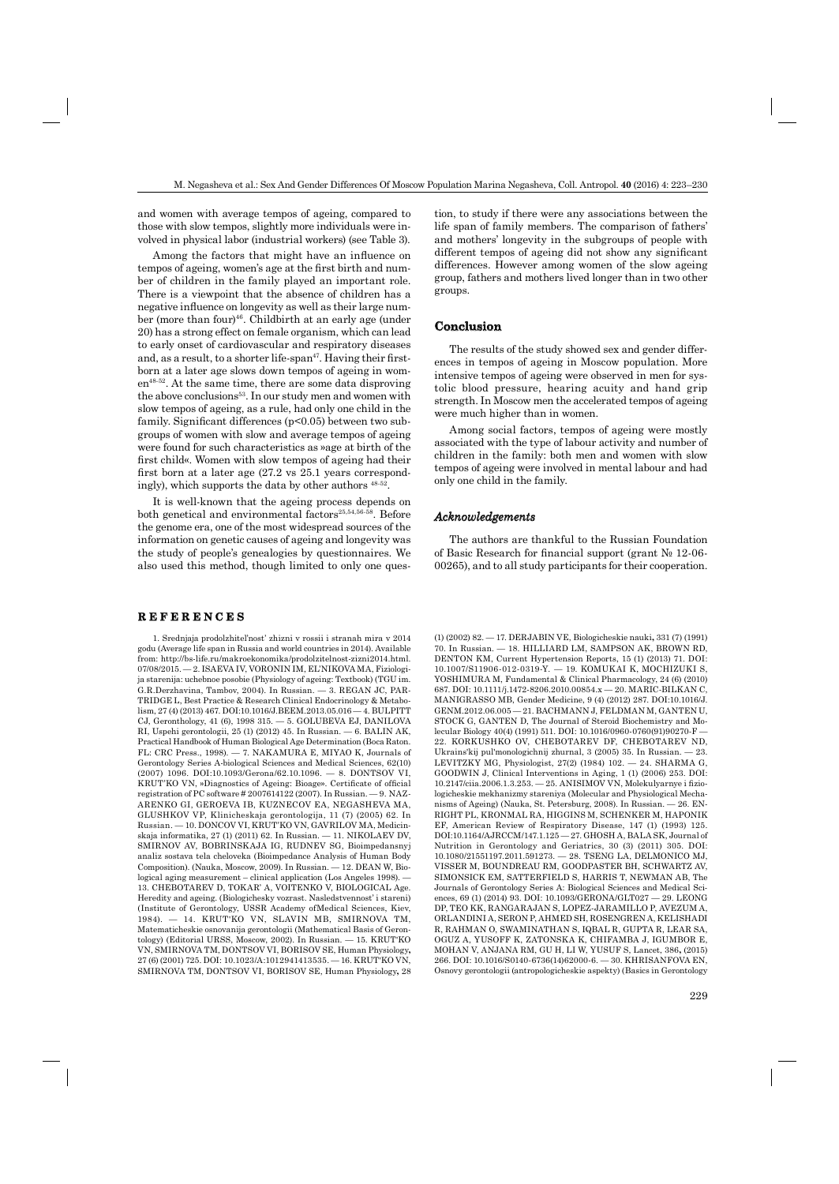and women with average tempos of ageing, compared to those with slow tempos, slightly more individuals were involved in physical labor (industrial workers) (see Table 3).

Among the factors that might have an influence on tempos of ageing, women's age at the first birth and number of children in the family played an important role. There is a viewpoint that the absence of children has a negative influence on longevity as well as their large number (more than four)46. Childbirth at an early age (under 20) has a strong effect on female organism, which can lead to early onset of cardiovascular and respiratory diseases and, as a result, to a shorter life-span<sup>47</sup>. Having their firstborn at a later age slows down tempos of ageing in women<sup>48-52</sup>. At the same time, there are some data disproving the above conclusions<sup>53</sup>. In our study men and women with slow tempos of ageing, as a rule, had only one child in the family. Significant differences  $(p<0.05)$  between two subgroups of women with slow and average tempos of ageing were found for such characteristics as »age at birth of the first child«. Women with slow tempos of ageing had their first born at a later age  $(27.2 \text{ vs } 25.1 \text{ years correspond-}$ ingly), which supports the data by other authors 48-52.

It is well-known that the ageing process depends on both genetical and environmental factors<sup>25,54,56-58</sup>. Before the genome era, one of the most widespread sources of the information on genetic causes of ageing and longevity was the study of people's genealogies by questionnaires. We also used this method, though limited to only one ques-

## **R E F E R E N C E S REFERENCES**

1. Srednjaja prodolzhitel'nost' zhizni v rossii i stranah mira v 2014 godu (Average life span in Russia and world countries in 2014). Available from: http://bs-life.ru/makroekonomika/prodolzitelnost-zizni2014.html. 07/08/2015. — 2. ISAEVA IV, VORONIN IM, EL'NIKOVA MA, Fiziologija starenija: uchebnoe posobie (Physiology of ageing: Textbook) (TGU im. G.R.Derzhavina, Tambov, 2004). In Russian. — 3. REGAN JC, PAR-TRIDGE L, Best Practice & Research Clinical Endocrinology & Metabolism, 27 (4) (2013) 467. DOI:10.1016/J.BEEM.2013.05.016 — 4. BULPITT CJ, Geronthology, 41 (6), 1998 315. — 5. GOLUBEVA EJ, DANILOVA RI, Uspehi gerontologii, 25 (1) (2012) 45. In Russian. — 6. BALIN AK, Practical Handbook of Human Biological Age Determination (Boca Raton. FL: CRC Press., 1998). — 7. NAKAMURA E, MIYAO K, Journals of Gerontology Series A-biological Sciences and Medical Sciences, 62(10) (2007) 1096. DOI:10.1093/Gerona/62.10.1096. — 8. DONTSOV VI, KRUT'KO VN, »Diagnostics of Ageing: Bioage». Certificate of official registration of PC software # 2007614122 (2007). In Russian. — 9. NAZ-ARENKO GI, GEROEVA IB, KUZNECOV EA, NEGASHEVA MA, GLUSHKOV VP, Klinicheskaja gerontologija, 11 (7) (2005) 62. In Russian. — 10. DONCOV VI, KRUT'KO VN, GAVRILOV MA, Medicinskaja informatika, 27 (1) (2011) 62. In Russian. — 11. NIKOLAEV DV, SMIRNOV AV, BOBRINSKAJA IG, RUDNEV SG, Bioimpedansnyj analiz sostava tela cheloveka (Bioimpedance Analysis of Human Body Composition). (Nauka, Moscow, 2009). In Russian. — 12. DEAN W, Biological aging measurement – clinical application (Los Angeles 1998). — 13. CHEBOTAREV D, TOKAR' A, VOITENKO V, BIOLOGICAL Age. Heredity and ageing. (Biologichesky vozrast. Nasledstvennost' i stareni) (Institute of Gerontology, USSR Academy ofMedical Sciences, Kiev, 1984). — 14. KRUT'KO VN, SLAVIN MB, SMIRNOVA TM, Matematicheskie osnovanija gerontologii (Mathematical Basis of Gerontology) (Editorial URSS, Moscow, 2002). In Russian. — 15. KRUT'KO VN, SMIRNOVA TM, DONTSOV VI, BORISOV SE, Human Physiology**,**  27 (6) (2001) 725. DOI: 10.1023/A:1012941413535. — 16. KRUT'KO VN, SMIRNOVA TM, DONTSOV VI, BORISOV SE, Human Physiology**,** 28

tion, to study if there were any associations between the life span of family members. The comparison of fathers' and mothers' longevity in the subgroups of people with different tempos of ageing did not show any significant differences. However among women of the slow ageing group, fathers and mothers lived longer than in two other groups.

## **Conclusion**

The results of the study showed sex and gender differences in tempos of ageing in Moscow population. More intensive tempos of ageing were observed in men for systolic blood pressure, hearing acuity and hand grip strength. In Moscow men the accelerated tempos of ageing were much higher than in women.

Among social factors, tempos of ageing were mostly associated with the type of labour activity and number of children in the family: both men and women with slow tempos of ageing were involved in mental labour and had only one child in the family.

## *Acknowledgements*

The authors are thankful to the Russian Foundation of Basic Research for financial support (grant  $N_2$  12-06-00265), and to all study participants for their cooperation.

(1) (2002) 82. — 17. DERJABIN VE, Biologicheskie nauki**,** 331 (7) (1991) 70. In Russian. — 18. HILLIARD LM, SAMPSON AK, BROWN RD, DENTON KM, Current Hypertension Reports, 15 (1) (2013) 71. DOI: 10.1007/S11906-012-0319-Y. — 19. KOMUKAI K, MOCHIZUKI S, YOSHIMURA M, Fundamental & Clinical Pharmacology, 24 (6) (2010) 687. DOI: 10.1111/j.1472-8206.2010.00854.x — 20. MARIC-BILKAN C, MANIGRASSO MB, Gender Medicine, 9 (4) (2012) 287. DOI:10.1016/J. GENM.2012.06.005 — 21. BACHMANN J, FELDMAN M, GANTEN U, STOCK G, GANTEN D, The Journal of Steroid Biochemistry and Molecular Biology 40(4) (1991) 511. DOI: 10.1016/0960-0760(91)90270-F — 22. KORKUSHKO OV, CHEBOTAREV DF, CHEBOTAREV ND, Ukrains'kij pul'monologichnij zhurnal, 3 (2005) 35. In Russian. — 23. LEVITZKY MG, Physiologist, 27(2) (1984) 102. — 24. SHARMA G, GOODWIN J, Clinical Interventions in Aging, 1 (1) (2006) 253. DOI: 10.2147/ciia.2006.1.3.253. - 25. ANISIMOV VN, Molekulyarnye i fiziologicheskie mekhanizmy stareniya (Molecular and Physiological Mechanisms of Ageing) (Nauka, St. Petersburg, 2008). In Russian. — 26. EN-RIGHT PL, KRONMAL RA, HIGGINS M, SCHENKER M, HAPONIK EF, American Review of Respiratory Disease, 147 (1) (1993) 125. DOI:10.1164/AJRCCM/147.1.125 — 27. GHOSH A, BALA SK, Journal of Nutrition in Gerontology and Geriatrics, 30 (3) (2011) 305. DOI: 10.1080/21551197.2011.591273. — 28. TSENG LA, DELMONICO MJ, VISSER M, BOUNDREAU RM, GOODPASTER BH, SCHWARTZ AV, SIMONSICK EM, SATTERFIELD S, HARRIS T, NEWMAN AB, The Journals of Gerontology Series A: Biological Sciences and Medical Sciences, 69 (1) (2014) 93. DOI: 10.1093/GERONA/GLT027 — 29. LEONG DP, TEO KK, RANGARAJAN S, LOPEZ-JARAMILLO P, AVEZUM A, ORLANDINI A, SERON P, AHMED SH, ROSENGREN A, KELISHADI R, RAHMAN O, SWAMINATHAN S, IQBAL R, GUPTA R, LEAR SA, OGUZ A, YUSOFF K, ZATONSKA K, CHIFAMBA J, IGUMBOR E, MOHAN V, ANJANA RM, GU H, LI W, YUSUF S, Lancet, 386**,** (2015) 266. DOI: 10.1016/S0140-6736(14)62000-6. — 30. KHRISANFOVA EN, Osnovy gerontologii (antropologicheskie aspekty) (Basics in Gerontology